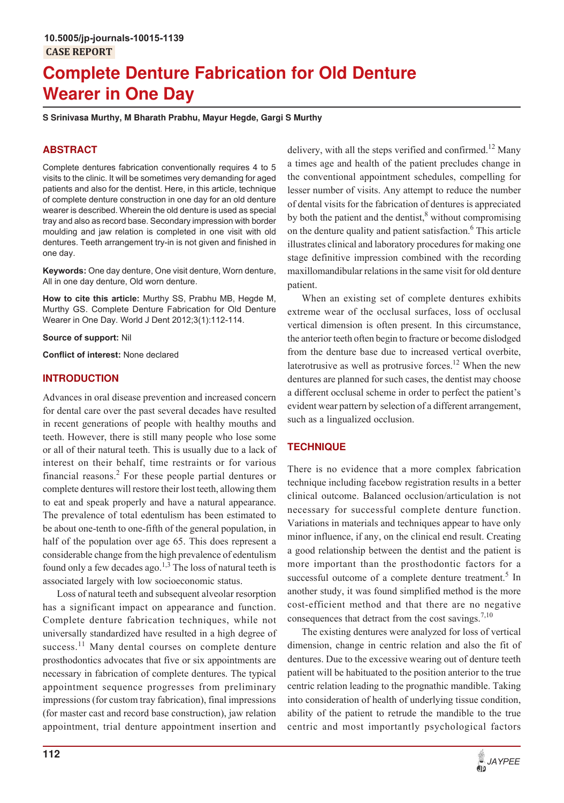# **Complete Denture Fabrication for Old Denture Wearer in One Day**

**S Srinivasa Murthy, M Bharath Prabhu, Mayur Hegde, Gargi S Murthy**

# **ABSTRACT**

Complete dentures fabrication conventionally requires 4 to 5 visits to the clinic. It will be sometimes very demanding for aged patients and also for the dentist. Here, in this article, technique of complete denture construction in one day for an old denture wearer is described. Wherein the old denture is used as special tray and also as record base. Secondary impression with border moulding and jaw relation is completed in one visit with old dentures. Teeth arrangement try-in is not given and finished in one day.

**Keywords:** One day denture, One visit denture, Worn denture, All in one day denture, Old worn denture.

**How to cite this article:** Murthy SS, Prabhu MB, Hegde M, Murthy GS. Complete Denture Fabrication for Old Denture Wearer in One Day. World J Dent 2012;3(1):112-114.

**Source of support:** Nil

**Conflict of interest:** None declared

## **INTRODUCTION**

Advances in oral disease prevention and increased concern for dental care over the past several decades have resulted in recent generations of people with healthy mouths and teeth. However, there is still many people who lose some or all of their natural teeth. This is usually due to a lack of interest on their behalf, time restraints or for various financial reasons.<sup>2</sup> For these people partial dentures or complete dentures will restore their lost teeth, allowing them to eat and speak properly and have a natural appearance. The prevalence of total edentulism has been estimated to be about one-tenth to one-fifth of the general population, in half of the population over age 65. This does represent a considerable change from the high prevalence of edentulism found only a few decades ago.<sup>1,3</sup> The loss of natural teeth is associated largely with low socioeconomic status.

Loss of natural teeth and subsequent alveolar resorption has a significant impact on appearance and function. Complete denture fabrication techniques, while not universally standardized have resulted in a high degree of success.<sup>11</sup> Many dental courses on complete denture prosthodontics advocates that five or six appointments are necessary in fabrication of complete dentures. The typical appointment sequence progresses from preliminary impressions (for custom tray fabrication), final impressions (for master cast and record base construction), jaw relation appointment, trial denture appointment insertion and

delivery, with all the steps verified and confirmed.<sup>12</sup> Many a times age and health of the patient precludes change in the conventional appointment schedules, compelling for lesser number of visits. Any attempt to reduce the number of dental visits for the fabrication of dentures is appreciated by both the patient and the dentist,<sup>8</sup> without compromising on the denture quality and patient satisfaction.<sup>6</sup> This article illustrates clinical and laboratory procedures for making one stage definitive impression combined with the recording maxillomandibular relations in the same visit for old denture patient.

When an existing set of complete dentures exhibits extreme wear of the occlusal surfaces, loss of occlusal vertical dimension is often present. In this circumstance, the anterior teeth often begin to fracture or become dislodged from the denture base due to increased vertical overbite, laterotrusive as well as protrusive forces.<sup>12</sup> When the new dentures are planned for such cases, the dentist may choose a different occlusal scheme in order to perfect the patient's evident wear pattern by selection of a different arrangement, such as a lingualized occlusion.

## **TECHNIQUE**

There is no evidence that a more complex fabrication technique including facebow registration results in a better clinical outcome. Balanced occlusion/articulation is not necessary for successful complete denture function. Variations in materials and techniques appear to have only minor influence, if any, on the clinical end result. Creating a good relationship between the dentist and the patient is more important than the prosthodontic factors for a successful outcome of a complete denture treatment.<sup>5</sup> In another study, it was found simplified method is the more cost-efficient method and that there are no negative consequences that detract from the cost savings.<sup>7,10</sup>

The existing dentures were analyzed for loss of vertical dimension, change in centric relation and also the fit of dentures. Due to the excessive wearing out of denture teeth patient will be habituated to the position anterior to the true centric relation leading to the prognathic mandible. Taking into consideration of health of underlying tissue condition, ability of the patient to retrude the mandible to the true centric and most importantly psychological factors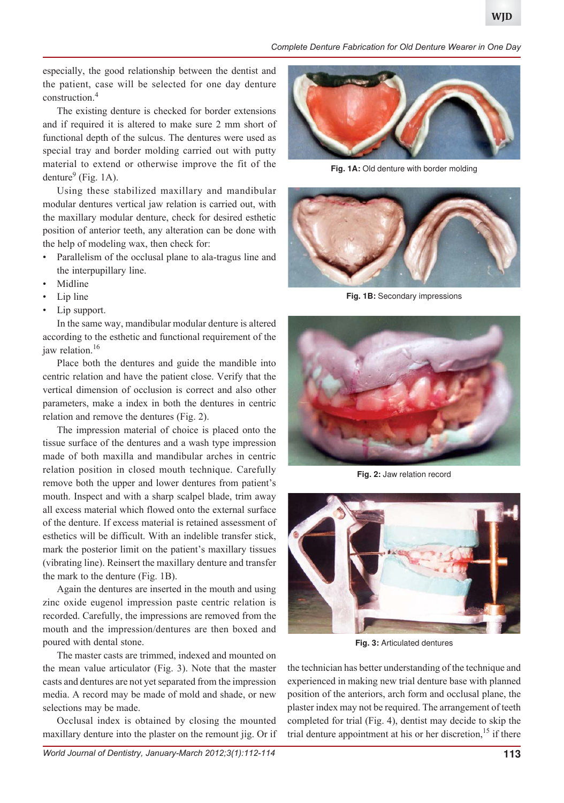*Complete Denture Fabrication for Old Denture Wearer in One Day*

especially, the good relationship between the dentist and the patient, case will be selected for one day denture construction.<sup>4</sup>

The existing denture is checked for border extensions and if required it is altered to make sure 2 mm short of functional depth of the sulcus. The dentures were used as special tray and border molding carried out with putty material to extend or otherwise improve the fit of the denture<sup>9</sup> (Fig. 1A).

Using these stabilized maxillary and mandibular modular dentures vertical jaw relation is carried out, with the maxillary modular denture, check for desired esthetic position of anterior teeth, any alteration can be done with the help of modeling wax, then check for:

- Parallelism of the occlusal plane to ala-tragus line and the interpupillary line.
- **Midline**
- Lip line
- Lip support.

In the same way, mandibular modular denture is altered according to the esthetic and functional requirement of the jaw relation.<sup>16</sup>

Place both the dentures and guide the mandible into centric relation and have the patient close. Verify that the vertical dimension of occlusion is correct and also other parameters, make a index in both the dentures in centric relation and remove the dentures (Fig. 2).

The impression material of choice is placed onto the tissue surface of the dentures and a wash type impression made of both maxilla and mandibular arches in centric relation position in closed mouth technique. Carefully remove both the upper and lower dentures from patient's mouth. Inspect and with a sharp scalpel blade, trim away all excess material which flowed onto the external surface of the denture. If excess material is retained assessment of esthetics will be difficult. With an indelible transfer stick, mark the posterior limit on the patient's maxillary tissues (vibrating line). Reinsert the maxillary denture and transfer the mark to the denture (Fig. 1B).

Again the dentures are inserted in the mouth and using zinc oxide eugenol impression paste centric relation is recorded. Carefully, the impressions are removed from the mouth and the impression/dentures are then boxed and poured with dental stone.

The master casts are trimmed, indexed and mounted on the mean value articulator (Fig. 3). Note that the master casts and dentures are not yet separated from the impression media. A record may be made of mold and shade, or new selections may be made.

Occlusal index is obtained by closing the mounted maxillary denture into the plaster on the remount jig. Or if



Fig. 1A: Old denture with border molding



**Fig. 1B:** Secondary impressions



**Fig. 2:** Jaw relation record



**Fig. 3:** Articulated dentures

the technician has better understanding of the technique and experienced in making new trial denture base with planned position of the anteriors, arch form and occlusal plane, the plaster index may not be required. The arrangement of teeth completed for trial (Fig. 4), dentist may decide to skip the trial denture appointment at his or her discretion,<sup>15</sup> if there